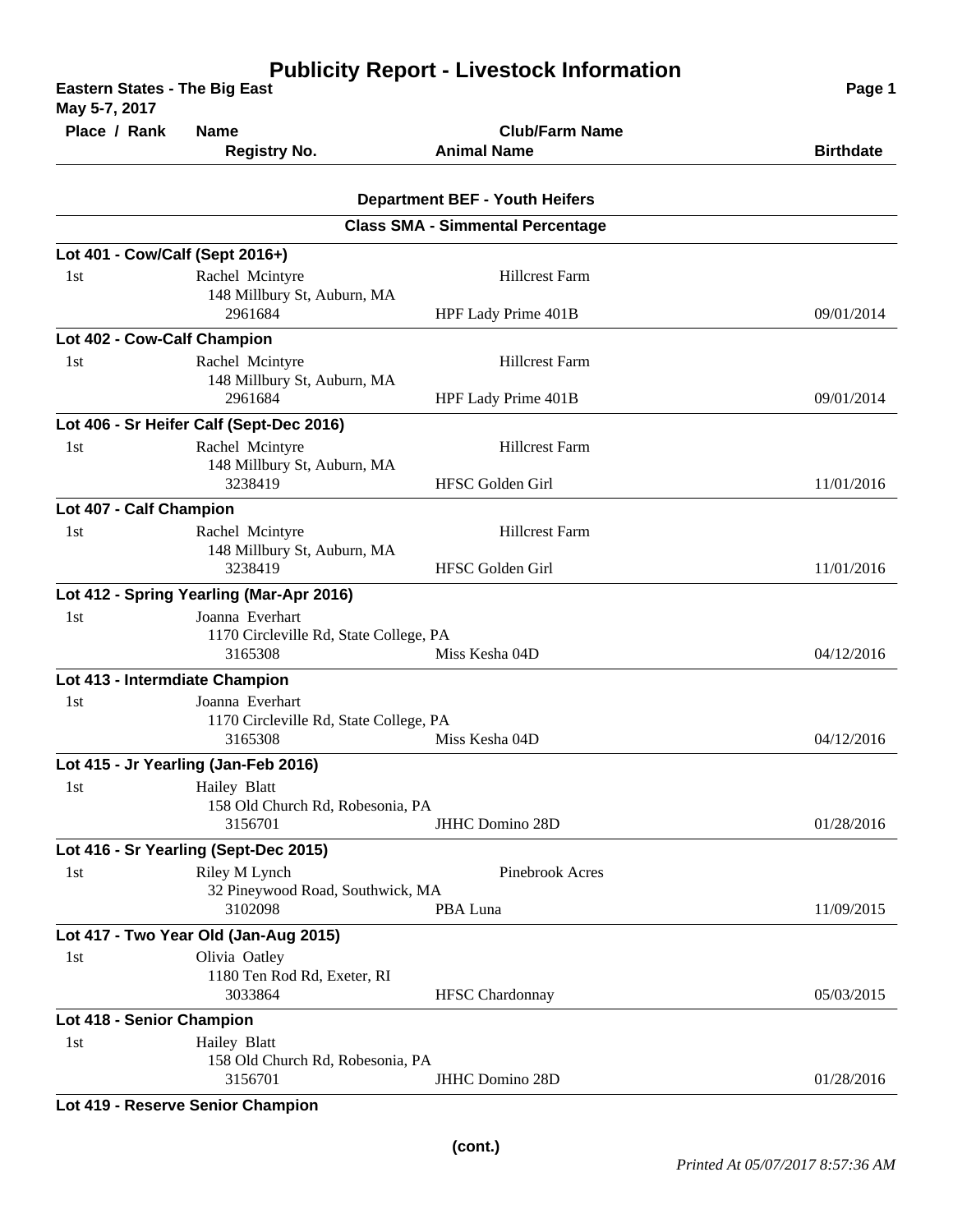| <b>Publicity Report - Livestock Information</b><br><b>Eastern States - The Big East</b><br>May 5-7, 2017 |                                                   |                                         | Page 1           |
|----------------------------------------------------------------------------------------------------------|---------------------------------------------------|-----------------------------------------|------------------|
| Place / Rank                                                                                             | <b>Name</b>                                       | <b>Club/Farm Name</b>                   |                  |
|                                                                                                          | <b>Registry No.</b>                               | <b>Animal Name</b>                      | <b>Birthdate</b> |
|                                                                                                          |                                                   |                                         |                  |
|                                                                                                          |                                                   | <b>Department BEF - Youth Heifers</b>   |                  |
|                                                                                                          |                                                   | <b>Class SMA - Simmental Percentage</b> |                  |
| Lot 401 - Cow/Calf (Sept 2016+)                                                                          |                                                   |                                         |                  |
| 1st                                                                                                      | Rachel Mcintyre                                   | <b>Hillcrest Farm</b>                   |                  |
|                                                                                                          | 148 Millbury St, Auburn, MA<br>2961684            | HPF Lady Prime 401B                     | 09/01/2014       |
| Lot 402 - Cow-Calf Champion                                                                              |                                                   |                                         |                  |
| 1st                                                                                                      | Rachel Mcintyre                                   | <b>Hillcrest Farm</b>                   |                  |
|                                                                                                          | 148 Millbury St, Auburn, MA<br>2961684            | HPF Lady Prime 401B                     | 09/01/2014       |
|                                                                                                          | Lot 406 - Sr Heifer Calf (Sept-Dec 2016)          |                                         |                  |
| 1st                                                                                                      | Rachel Mcintyre                                   | <b>Hillcrest Farm</b>                   |                  |
|                                                                                                          | 148 Millbury St, Auburn, MA<br>3238419            | HFSC Golden Girl                        | 11/01/2016       |
| Lot 407 - Calf Champion                                                                                  |                                                   |                                         |                  |
| 1st                                                                                                      | Rachel Mcintyre                                   | <b>Hillcrest Farm</b>                   |                  |
|                                                                                                          | 148 Millbury St, Auburn, MA<br>3238419            | HFSC Golden Girl                        | 11/01/2016       |
|                                                                                                          | Lot 412 - Spring Yearling (Mar-Apr 2016)          |                                         |                  |
| 1st                                                                                                      | Joanna Everhart                                   |                                         |                  |
|                                                                                                          | 1170 Circleville Rd, State College, PA<br>3165308 | Miss Kesha 04D                          | 04/12/2016       |
|                                                                                                          |                                                   |                                         |                  |
| Lot 413 - Intermdiate Champion<br>1 <sub>st</sub>                                                        | Joanna Everhart                                   |                                         |                  |
|                                                                                                          | 1170 Circleville Rd, State College, PA            |                                         |                  |
|                                                                                                          | 3165308                                           | Miss Kesha 04D                          | 04/12/2016       |
|                                                                                                          | Lot 415 - Jr Yearling (Jan-Feb 2016)              |                                         |                  |
| 1st                                                                                                      | Hailey Blatt                                      |                                         |                  |
|                                                                                                          | 158 Old Church Rd, Robesonia, PA<br>3156701       | <b>JHHC Domino 28D</b>                  |                  |
|                                                                                                          |                                                   |                                         | 01/28/2016       |
| 1st                                                                                                      | Lot 416 - Sr Yearling (Sept-Dec 2015)             |                                         |                  |
|                                                                                                          | Riley M Lynch<br>32 Pineywood Road, Southwick, MA | Pinebrook Acres                         |                  |
|                                                                                                          | 3102098                                           | PBA Luna                                | 11/09/2015       |
|                                                                                                          | Lot 417 - Two Year Old (Jan-Aug 2015)             |                                         |                  |
| 1st                                                                                                      | Olivia Oatley                                     |                                         |                  |
|                                                                                                          | 1180 Ten Rod Rd, Exeter, RI                       |                                         |                  |
|                                                                                                          | 3033864                                           | <b>HFSC</b> Chardonnay                  | 05/03/2015       |
| Lot 418 - Senior Champion                                                                                |                                                   |                                         |                  |
| 1st                                                                                                      | Hailey Blatt<br>158 Old Church Rd, Robesonia, PA  |                                         |                  |
|                                                                                                          | 3156701                                           | <b>JHHC Domino 28D</b>                  | 01/28/2016       |
|                                                                                                          |                                                   |                                         |                  |

**Lot 419 - Reserve Senior Champion**